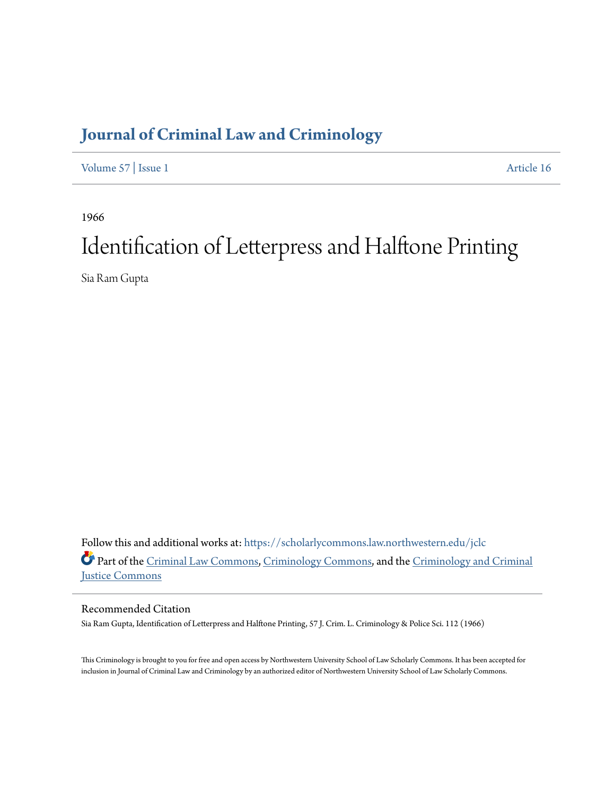## **[Journal of Criminal Law and Criminology](https://scholarlycommons.law.northwestern.edu/jclc?utm_source=scholarlycommons.law.northwestern.edu%2Fjclc%2Fvol57%2Fiss1%2F16&utm_medium=PDF&utm_campaign=PDFCoverPages)**

[Volume 57](https://scholarlycommons.law.northwestern.edu/jclc/vol57?utm_source=scholarlycommons.law.northwestern.edu%2Fjclc%2Fvol57%2Fiss1%2F16&utm_medium=PDF&utm_campaign=PDFCoverPages) | [Issue 1](https://scholarlycommons.law.northwestern.edu/jclc/vol57/iss1?utm_source=scholarlycommons.law.northwestern.edu%2Fjclc%2Fvol57%2Fiss1%2F16&utm_medium=PDF&utm_campaign=PDFCoverPages) [Article 16](https://scholarlycommons.law.northwestern.edu/jclc/vol57/iss1/16?utm_source=scholarlycommons.law.northwestern.edu%2Fjclc%2Fvol57%2Fiss1%2F16&utm_medium=PDF&utm_campaign=PDFCoverPages)

1966

## Identification of Letterpress and Halftone Printing

Sia Ram Gupta

Follow this and additional works at: [https://scholarlycommons.law.northwestern.edu/jclc](https://scholarlycommons.law.northwestern.edu/jclc?utm_source=scholarlycommons.law.northwestern.edu%2Fjclc%2Fvol57%2Fiss1%2F16&utm_medium=PDF&utm_campaign=PDFCoverPages) Part of the [Criminal Law Commons](http://network.bepress.com/hgg/discipline/912?utm_source=scholarlycommons.law.northwestern.edu%2Fjclc%2Fvol57%2Fiss1%2F16&utm_medium=PDF&utm_campaign=PDFCoverPages), [Criminology Commons](http://network.bepress.com/hgg/discipline/417?utm_source=scholarlycommons.law.northwestern.edu%2Fjclc%2Fvol57%2Fiss1%2F16&utm_medium=PDF&utm_campaign=PDFCoverPages), and the [Criminology and Criminal](http://network.bepress.com/hgg/discipline/367?utm_source=scholarlycommons.law.northwestern.edu%2Fjclc%2Fvol57%2Fiss1%2F16&utm_medium=PDF&utm_campaign=PDFCoverPages) [Justice Commons](http://network.bepress.com/hgg/discipline/367?utm_source=scholarlycommons.law.northwestern.edu%2Fjclc%2Fvol57%2Fiss1%2F16&utm_medium=PDF&utm_campaign=PDFCoverPages)

Recommended Citation

Sia Ram Gupta, Identification of Letterpress and Halftone Printing, 57 J. Crim. L. Criminology & Police Sci. 112 (1966)

This Criminology is brought to you for free and open access by Northwestern University School of Law Scholarly Commons. It has been accepted for inclusion in Journal of Criminal Law and Criminology by an authorized editor of Northwestern University School of Law Scholarly Commons.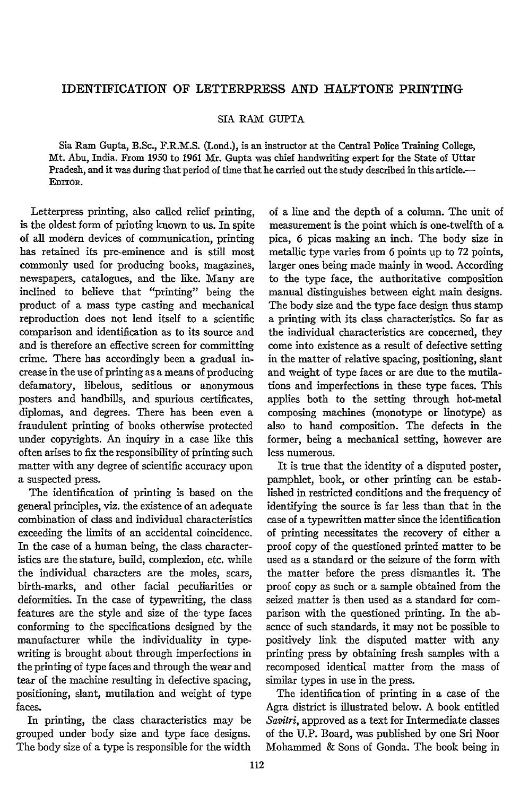## IDENTIFICATION OF LETTERPRESS AND HALFTONE PRINTING

SIA RAM GUPTA

Sia Ram Gupta, B.Sc., F.R.M.S. (Lond.), is an instructor at the Central Police Training College, Mt. Abu, India. From 1950 to 1961 Mr. Gupta was chief handwriting expert for the State of Uttar Pradesh, and it was during that period of time that he carried out the study described in this article. EDITOR.

Letterpress printing, also called relief printing, is the oldest form of printing known to us. In spite of all modern devices of communication, printing has retained its pre-eminence and is still most commonly used for producing books, magazines, newspapers, catalogues, and the like. Many are inclined to believe that "printing" being the product of a mass type casting and mechanical reproduction does not lend itself to a scientific comparison and identification as to its source and and is therefore an effective screen for committing crime. There has accordingly been a gradual increase in the use of printing as a means of producing defamatory, libelous, seditious or anonymous posters and handbills, and spurious certificates, diplomas, and degrees. There has been even a fraudulent printing of books otherwise protected under copyrights. An inquiry in a case like this often arises to fix the responsibility of printing such matter with any degree of scientific accuracy upon a suspected press.

The identification of printing is based on the general principles, viz. the existence of an adequate combination of class and individual characteristics exceeding the limits of an accidental coincidence. In the case of a human being, the class characteristics are the stature, build, complexion, etc. while the individual characters are the moles, scars, birth-marks, and other facial peculiarities or deformities. In the case of typewriting, the class features are the style and size of the type faces conforming to the specifications designed by the manufacturer while the individuality in typewriting is brought about through imperfections in the printing of type faces and through the wear and tear of the machine resulting in defective spacing, positioning, slant, mutilation and weight of type faces.

In printing, the class characteristics may be grouped under body size and type face designs. The body size of a type is responsible for the width

of a line and the depth of a column. The unit of measurement is the point which is one-twelfth of a pica, 6 picas making an inch. The body size in metallic type varies from 6 points up to 72 points, larger ones being made mainly in wood. According to the type face, the authoritative composition manual distinguishes between eight main designs. The body size and the type face design thus stamp a printing with its class characteristics. So far as the individual characteristics are concerned, they come into existence as a result of defective setting in the matter of relative spacing, positioning, slant and weight of type faces or are due to the mutilations and imperfections in these type faces. This applies both to the setting through hot-metal composing machines (monotype or linotype) as also to hand composition. The defects in the former, being a mechanical setting, however are less numerous.

It is true that the identity of a disputed poster, pamphlet, book, or other printing can be established in restricted conditions and the frequency of identifying the source is far less than that in the case of a typewritten matter since the identification of printing necessitates the recovery of either a proof copy of the questioned printed matter to be used as a standard or the seizure of the form with the matter before the press dismantles it. The proof copy as such or a sample obtained from the seized matter is then used as a standard for comparison with the questioned printing. In the absence of such standards, it may not be possible to positively link the disputed matter with any printing press by obtaining fresh samples with a recomposed identical matter from the mass of similar types in use in the press.

The identification of printing in a case of the Agra district is illustrated below. A book entitled *Savitri,* approved as a text for Intermediate classes of the U.P. Board, was published by one Sri Noor Mohammed & Sons of Gonda. The book being in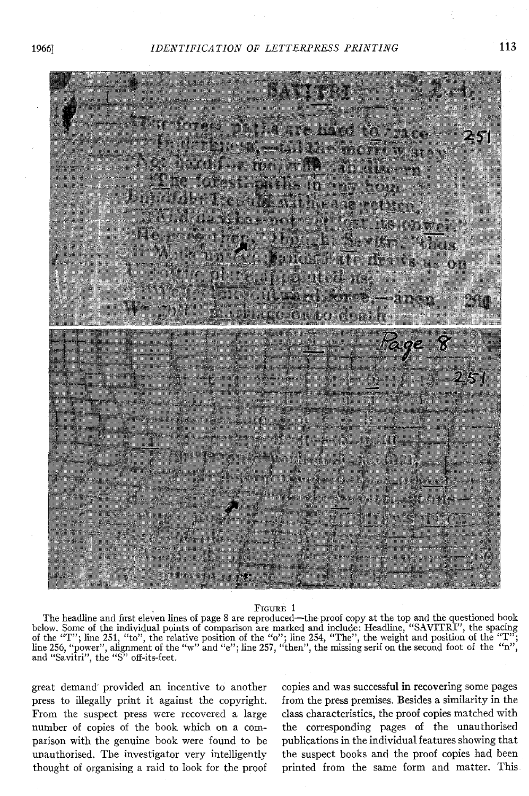

## **FIouRa 1**

The headline and first eleven lines of page 8 are reproduced-the proof copy at the top and the questioned book below. Some of the individual points of comparison are marked and include: Headline, "SAVITRI", the spacing<br>of the "T"; line 251, "to", the relative position of the "o"; line 254, "The", the weight and position of the<br>line and "Savitri", the **"S"** off-its-feet.

great demand provided an incentive to another press to illegally print it against the copyright. From the suspect press were recovered a large number of copies of the book which on a comparison with the genuine book were found to be unauthorised. The investigator very intelligently thought of organising a raid to look for the proof copies and was successful in recovering some pages from the press premises. Besides a similarity in the class characteristics, the proof copies matched with the corresponding pages of the unauthorised publications in the individual features showing that the suspect books and the proof copies had been printed from the same form and matter. This